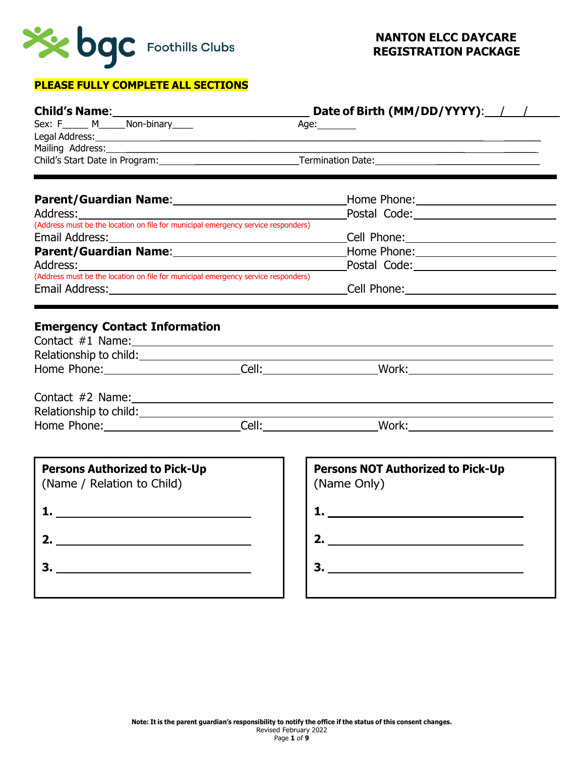

# **PLEASE FULLY COMPLETE ALL SECTIONS**

|                                                                                               |  | Date of Birth (MM/DD/YYYY): / /                                                                                |
|-----------------------------------------------------------------------------------------------|--|----------------------------------------------------------------------------------------------------------------|
| Sex: F______ M______ Non-binary_____                                                          |  | Age:________                                                                                                   |
|                                                                                               |  | Legal Address: 1988 and 2008 and 2008 and 2008 and 2008 and 2008 and 2008 and 2008 and 2008 and 2008 and 2008  |
|                                                                                               |  |                                                                                                                |
|                                                                                               |  |                                                                                                                |
|                                                                                               |  | Parent/Guardian Name: 1990 Mannel Mannel Museum Mome Phone: 2008. 2009 Mannel Mannel Mannel Museum Mannel Muse |
| Address:<br>(Address must be the location on file for municipal emergency service responders) |  |                                                                                                                |
|                                                                                               |  |                                                                                                                |
|                                                                                               |  |                                                                                                                |
|                                                                                               |  |                                                                                                                |
| Address:<br>(Address must be the location on file for municipal emergency service responders) |  |                                                                                                                |
|                                                                                               |  |                                                                                                                |
|                                                                                               |  | Email Address: No. 2014 19:00 Cell Phone: Cell Phone: No. 2014 19:00 Cell Phone: No. 2014 19:00 20:00 20:00 20 |
|                                                                                               |  |                                                                                                                |
|                                                                                               |  |                                                                                                                |
|                                                                                               |  |                                                                                                                |
|                                                                                               |  |                                                                                                                |
|                                                                                               |  |                                                                                                                |
| <b>Persons Authorized to Pick-Up</b>                                                          |  | <b>Persons NOT Authorized to Pick-Up</b>                                                                       |
| (Name / Relation to Child)                                                                    |  | (Name Only)                                                                                                    |
|                                                                                               |  | <u>1. ________________________</u>                                                                             |
|                                                                                               |  |                                                                                                                |
|                                                                                               |  | 2. $\qquad \qquad$                                                                                             |
|                                                                                               |  |                                                                                                                |
| 3.                                                                                            |  |                                                                                                                |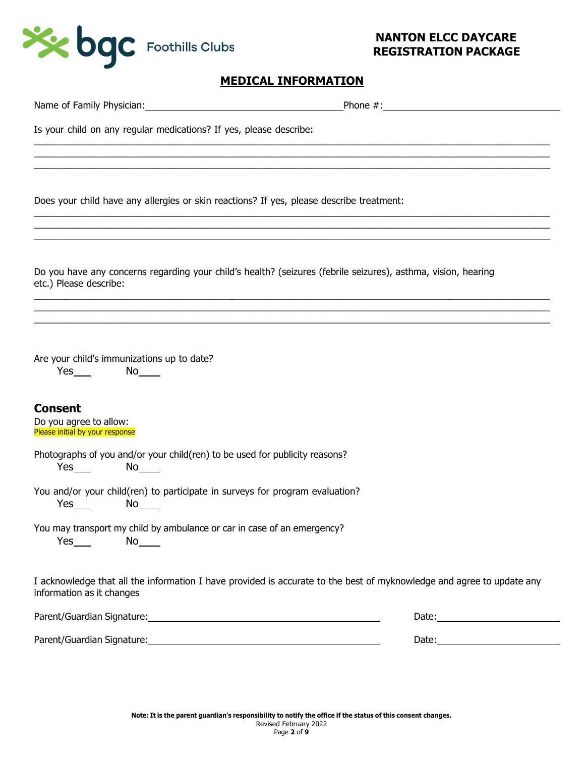

| Is your child on any regular medications? If yes, please describe:                                                                                                                                                             |                                                                                                                                                                                                                                      |
|--------------------------------------------------------------------------------------------------------------------------------------------------------------------------------------------------------------------------------|--------------------------------------------------------------------------------------------------------------------------------------------------------------------------------------------------------------------------------------|
|                                                                                                                                                                                                                                |                                                                                                                                                                                                                                      |
| Does your child have any allergies or skin reactions? If yes, please describe treatment:                                                                                                                                       |                                                                                                                                                                                                                                      |
| etc.) Please describe:                                                                                                                                                                                                         | Do you have any concerns regarding your child's health? (seizures (febrile seizures), asthma, vision, hearing                                                                                                                        |
| Are your child's immunizations up to date?<br>$Yes$ No $\qquad$                                                                                                                                                                |                                                                                                                                                                                                                                      |
| <b>Consent</b><br>Do you agree to allow:<br>Please initial by your response                                                                                                                                                    |                                                                                                                                                                                                                                      |
| Photographs of you and/or your child(ren) to be used for publicity reasons?<br>$Yes$ No $No$                                                                                                                                   |                                                                                                                                                                                                                                      |
| You and/or your child(ren) to participate in surveys for program evaluation?<br>Yes<br><b>No.</b>                                                                                                                              |                                                                                                                                                                                                                                      |
| You may transport my child by ambulance or car in case of an emergency?<br>$Yes$ No $\qquad$                                                                                                                                   |                                                                                                                                                                                                                                      |
| information as it changes                                                                                                                                                                                                      | I acknowledge that all the information I have provided is accurate to the best of myknowledge and agree to update any                                                                                                                |
|                                                                                                                                                                                                                                | Date: <u>University of the set of the set of the set of the set of the set of the set of the set of the set of the set of the set of the set of the set of the set of the set of the set of the set of the set of the set of the</u> |
| Parent/Guardian Signature: National Accounts and Accounts and Accounts and Accounts and Accounts and Accounts and Accounts are also accounts and Accounts are also accounts and Accounts are also accounts and Accounts are al |                                                                                                                                                                                                                                      |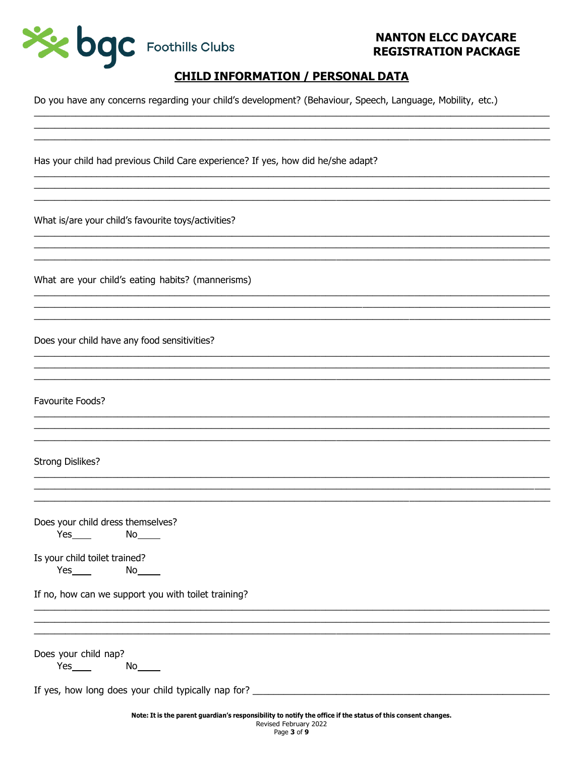

## **CHILD INFORMATION / PERSONAL DATA**

Do you have any concerns regarding your child's development? (Behaviour, Speech, Language, Mobility, etc.)

Has your child had previous Child Care experience? If yes, how did he/she adapt?

What is/are your child's favourite toys/activities?

What are your child's eating habits? (mannerisms)

Does your child have any food sensitivities?

Favourite Foods?

#### **Strong Dislikes?**

| Does your child dress themselves? |    |  |
|-----------------------------------|----|--|
| Yes.                              | N٥ |  |

Is your child toilet trained?

If no, how can we support you with toilet training?

Does your child nap?

 $Yes$  No  $No$ 

If yes, how long does your child typically nap for?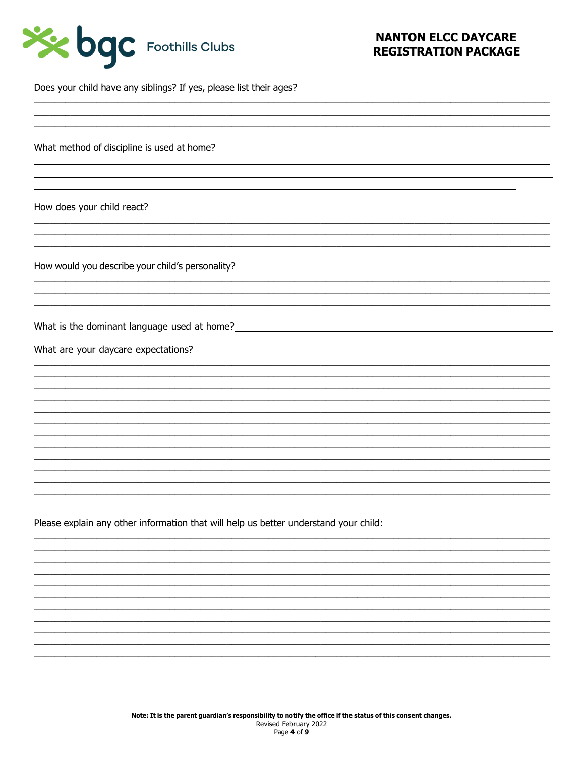| See bac Foothills Clubs |  |
|-------------------------|--|
|-------------------------|--|

Does your child have any siblings? If yes, please list their ages?

What method of discipline is used at home?

How does your child react?

How would you describe your child's personality?

What is the dominant language used at home?

What are your daycare expectations?

Please explain any other information that will help us better understand your child: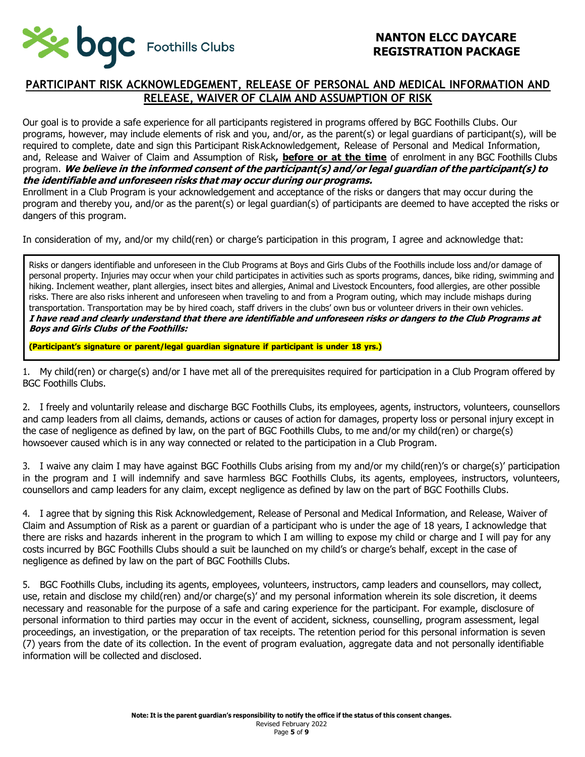

#### **PARTICIPANT RISK ACKNOWLEDGEMENT, RELEASE OF PERSONAL AND MEDICAL INFORMATION AND RELEASE, WAIVER OF CLAIM AND ASSUMPTION OF RISK**

Our goal is to provide a safe experience for all participants registered in programs offered by BGC Foothills Clubs. Our programs, however, may include elements of risk and you, and/or, as the parent(s) or legal guardians of participant(s), will be required to complete, date and sign this Participant RiskAcknowledgement, Release of Personal and Medical Information, and, Release and Waiver of Claim and Assumption of Risk**, before or at the time** of enrolment in any BGC Foothills Clubs program. **We believe in the informed consent of the participant(s) and/or legal guardian of the participant(s) to the identifiable and unforeseen risks that may occur during our programs.**

Enrollment in a Club Program is your acknowledgement and acceptance of the risks or dangers that may occur during the program and thereby you, and/or as the parent(s) or legal guardian(s) of participants are deemed to have accepted the risks or dangers of this program.

In consideration of my, and/or my child(ren) or charge's participation in this program, I agree and acknowledge that:

Risks or dangers identifiable and unforeseen in the Club Programs at Boys and Girls Clubs of the Foothills include loss and/or damage of personal property. Injuries may occur when your child participates in activities such as sports programs, dances, bike riding, swimming and hiking. Inclement weather, plant allergies, insect bites and allergies, Animal and Livestock Encounters, food allergies, are other possible risks. There are also risks inherent and unforeseen when traveling to and from a Program outing, which may include mishaps during transportation. Transportation may be by hired coach, staff drivers in the clubs' own bus or volunteer drivers in their own vehicles. **I have read and clearly understand that there are identifiable and unforeseen risks or dangers to the Club Programs at Boys and Girls Clubs of the Foothills:**

**(Participant's signature or parent/legal guardian signature if participant is under 18 yrs.)**

1. My child(ren) or charge(s) and/or I have met all of the prerequisites required for participation in a Club Program offered by BGC Foothills Clubs.

2. I freely and voluntarily release and discharge BGC Foothills Clubs, its employees, agents, instructors, volunteers, counsellors and camp leaders from all claims, demands, actions or causes of action for damages, property loss or personal injury except in the case of negligence as defined by law, on the part of BGC Foothills Clubs, to me and/or my child(ren) or charge(s) howsoever caused which is in any way connected or related to the participation in a Club Program.

3. I waive any claim I may have against BGC Foothills Clubs arising from my and/or my child(ren)'s or charge(s)' participation in the program and I will indemnify and save harmless BGC Foothills Clubs, its agents, employees, instructors, volunteers, counsellors and camp leaders for any claim, except negligence as defined by law on the part of BGC Foothills Clubs.

4. I agree that by signing this Risk Acknowledgement, Release of Personal and Medical Information, and Release, Waiver of Claim and Assumption of Risk as a parent or guardian of a participant who is under the age of 18 years, I acknowledge that there are risks and hazards inherent in the program to which I am willing to expose my child or charge and I will pay for any costs incurred by BGC Foothills Clubs should a suit be launched on my child's or charge's behalf, except in the case of negligence as defined by law on the part of BGC Foothills Clubs.

5. BGC Foothills Clubs, including its agents, employees, volunteers, instructors, camp leaders and counsellors, may collect, use, retain and disclose my child(ren) and/or charge(s)' and my personal information wherein its sole discretion, it deems necessary and reasonable for the purpose of a safe and caring experience for the participant. For example, disclosure of personal information to third parties may occur in the event of accident, sickness, counselling, program assessment, legal proceedings, an investigation, or the preparation of tax receipts. The retention period for this personal information is seven (7) years from the date of its collection. In the event of program evaluation, aggregate data and not personally identifiable information will be collected and disclosed.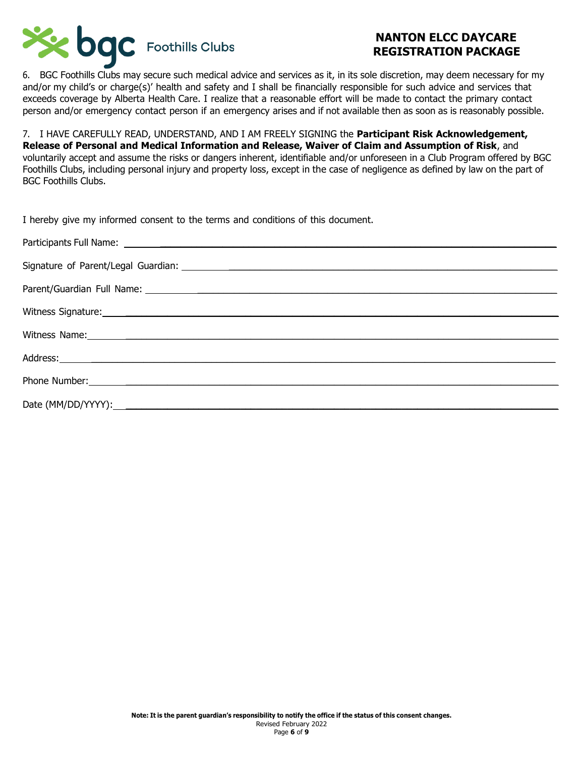

6. BGC Foothills Clubs may secure such medical advice and services as it, in its sole discretion, may deem necessary for my and/or my child's or charge(s)' health and safety and I shall be financially responsible for such advice and services that exceeds coverage by Alberta Health Care. I realize that a reasonable effort will be made to contact the primary contact person and/or emergency contact person if an emergency arises and if not available then as soon as is reasonably possible.

7. I HAVE CAREFULLY READ, UNDERSTAND, AND I AM FREELY SIGNING the **Participant Risk Acknowledgement, Release of Personal and Medical Information and Release, Waiver of Claim and Assumption of Risk**, and voluntarily accept and assume the risks or dangers inherent, identifiable and/or unforeseen in a Club Program offered by BGC Foothills Clubs, including personal injury and property loss, except in the case of negligence as defined by law on the part of BGC Foothills Clubs.

| I hereby give my informed consent to the terms and conditions of this document.                                                                                                                                                     |
|-------------------------------------------------------------------------------------------------------------------------------------------------------------------------------------------------------------------------------------|
|                                                                                                                                                                                                                                     |
|                                                                                                                                                                                                                                     |
|                                                                                                                                                                                                                                     |
|                                                                                                                                                                                                                                     |
| Witness Name: 2008 Communication of the Communication of the Communication of the Communication of the Communication of the Communication of the Communication of the Communication of the Communication of the Communication       |
|                                                                                                                                                                                                                                     |
| Phone Number: <u>Alexander Advisory</u> Changes and Changes and Changes and Changes and Changes and Changes and Changes and Changes and Changes and Changes and Changes and Changes and Changes and Changes and Changes and Changes |
|                                                                                                                                                                                                                                     |
|                                                                                                                                                                                                                                     |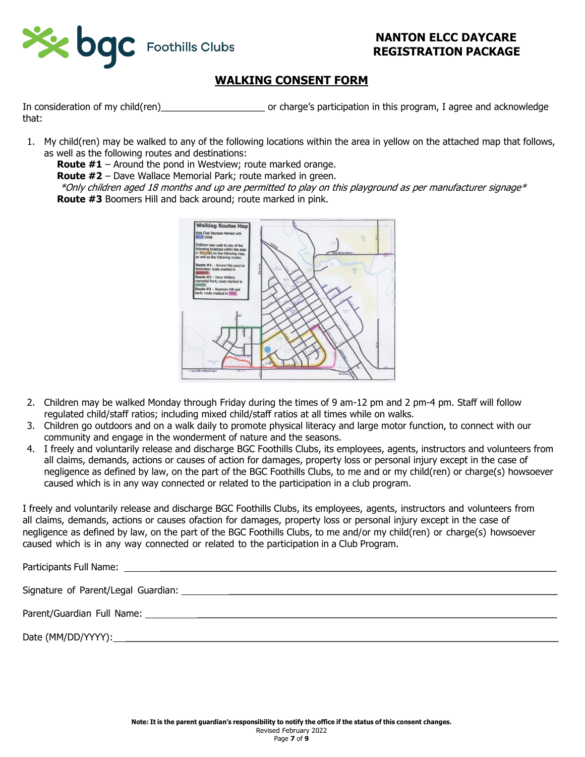

# **WALKING CONSENT FORM**

In consideration of my child(ren) example of charge's participation in this program, I agree and acknowledge that:

1. My child(ren) may be walked to any of the following locations within the area in yellow on the attached map that follows, as well as the following routes and destinations:

**Route #1** – Around the pond in Westview; route marked orange.

**Route #2** – Dave Wallace Memorial Park; route marked in green.

 $*$ Only children aged 18 months and up are permitted to play on this playground as per manufacturer signage $*$ **Route #3** Boomers Hill and back around; route marked in pink.



- 2. Children may be walked Monday through Friday during the times of 9 am-12 pm and 2 pm-4 pm. Staff will follow regulated child/staff ratios; including mixed child/staff ratios at all times while on walks.
- 3. Children go outdoors and on a walk daily to promote physical literacy and large motor function, to connect with our community and engage in the wonderment of nature and the seasons.
- 4. I freely and voluntarily release and discharge BGC Foothills Clubs, its employees, agents, instructors and volunteers from all claims, demands, actions or causes of action for damages, property loss or personal injury except in the case of negligence as defined by law, on the part of the BGC Foothills Clubs, to me and or my child(ren) or charge(s) howsoever caused which is in any way connected or related to the participation in a club program.

I freely and voluntarily release and discharge BGC Foothills Clubs, its employees, agents, instructors and volunteers from all claims, demands, actions or causes ofaction for damages, property loss or personal injury except in the case of negligence as defined by law, on the part of the BGC Foothills Clubs, to me and/or my child(ren) or charge(s) howsoever caused which is in any way connected or related to the participation in a Club Program.

| Signature of Parent/Legal Guardian: |  |
|-------------------------------------|--|
|                                     |  |

Date (MM/DD/YYYY):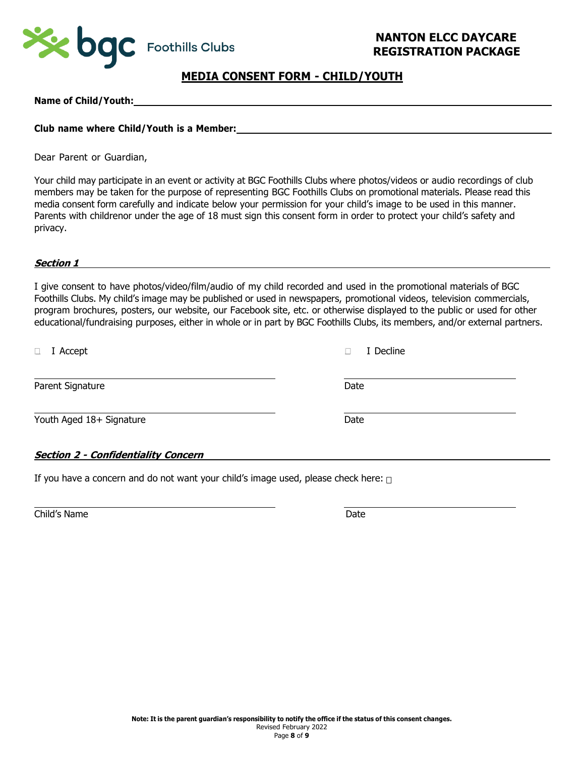

#### **MEDIA CONSENT FORM - CHILD/YOUTH**

**Name of Child/Youth:**

#### **Club name where Child/Youth is a Member:**

Dear Parent or Guardian,

Your child may participate in an event or activity at BGC Foothills Clubs where photos/videos or audio recordings of club members may be taken for the purpose of representing BGC Foothills Clubs on promotional materials. Please read this media consent form carefully and indicate below your permission for your child's image to be used in this manner. Parents with childrenor under the age of 18 must sign this consent form in order to protect your child's safety and privacy.

#### **Section 1**

I give consent to have photos/video/film/audio of my child recorded and used in the promotional materials of BGC Foothills Clubs. My child's image may be published or used in newspapers, promotional videos, television commercials, program brochures, posters, our website, our Facebook site, etc. or otherwise displayed to the public or used for other educational/fundraising purposes, either in whole or in part by BGC Foothills Clubs, its members, and/or external partners.

| I Accept<br>$\Box$                         | I Decline |  |
|--------------------------------------------|-----------|--|
| Parent Signature                           | Date      |  |
| Youth Aged 18+ Signature                   | Date      |  |
| <b>Section 2 - Confidentiality Concern</b> |           |  |

If you have a concern and do not want your child's image used, please check here:  $\Box$ 

Child's Name Date